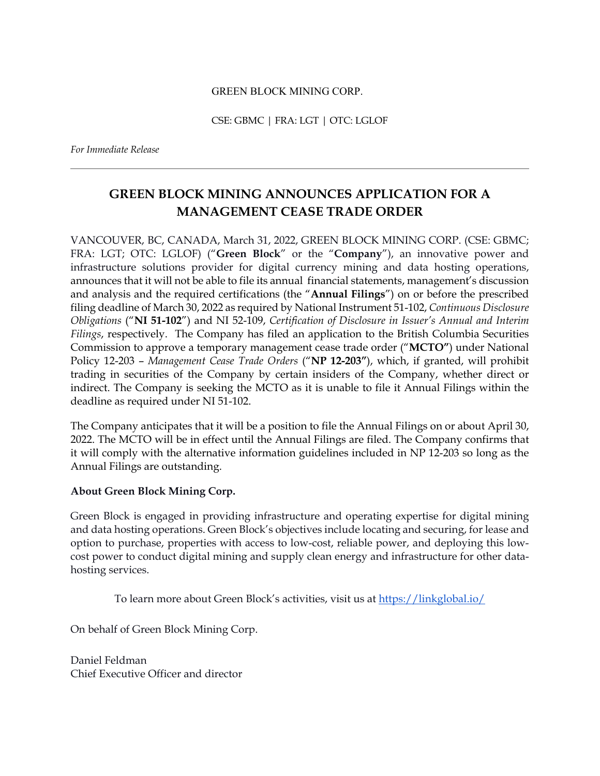## GREEN BLOCK MINING CORP.

CSE: GBMC | FRA: LGT | OTC: LGLOF

*For Immediate Release* 

## **GREEN BLOCK MINING ANNOUNCES APPLICATION FOR A MANAGEMENT CEASE TRADE ORDER**

VANCOUVER, BC, CANADA, March 31, 2022, GREEN BLOCK MINING CORP. (CSE: GBMC; FRA: LGT; OTC: LGLOF) ("**Green Block**" or the "**Company**"), an innovative power and infrastructure solutions provider for digital currency mining and data hosting operations, announces that it will not be able to file its annual financial statements, management's discussion and analysis and the required certifications (the "**Annual Filings**") on or before the prescribed filing deadline of March 30, 2022 as required by National Instrument 51-102, *Continuous Disclosure Obligations* ("**NI 51-102**") and NI 52-109, *Certification of Disclosure in Issuer's Annual and Interim Filings*, respectively. The Company has filed an application to the British Columbia Securities Commission to approve a temporary management cease trade order ("**MCTO"**) under National Policy 12-203 – *Management Cease Trade Orders* ("**NP 12-203"**), which, if granted, will prohibit trading in securities of the Company by certain insiders of the Company, whether direct or indirect. The Company is seeking the MCTO as it is unable to file it Annual Filings within the deadline as required under NI 51-102.

The Company anticipates that it will be a position to file the Annual Filings on or about April 30, 2022. The MCTO will be in effect until the Annual Filings are filed. The Company confirms that it will comply with the alternative information guidelines included in NP 12-203 so long as the Annual Filings are outstanding.

## **About Green Block Mining Corp.**

Green Block is engaged in providing infrastructure and operating expertise for digital mining and data hosting operations. Green Block's objectives include locating and securing, for lease and option to purchase, properties with access to low-cost, reliable power, and deploying this lowcost power to conduct digital mining and supply clean energy and infrastructure for other datahosting services.

To learn more about Green Block's activities, visit us at https://linkglobal.io/

On behalf of Green Block Mining Corp.

Daniel Feldman Chief Executive Officer and director